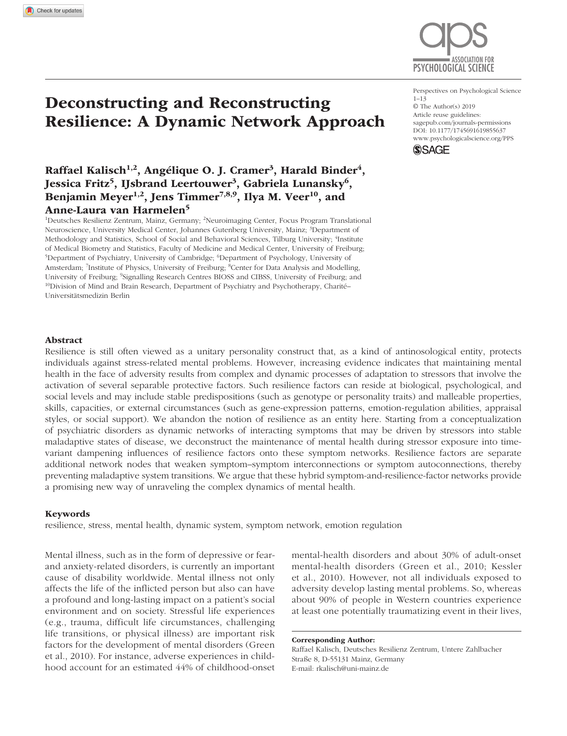# Deconstructing and Reconstructing Resilience: A Dynamic Network Approach

# Raffael Kalisch<sup>1,2</sup>, Angélique O. J. Cramer<sup>3</sup>, Harald Binder<sup>4</sup>, Jessica Fritz<sup>5</sup>, IJsbrand Leertouwer<sup>3</sup>, Gabriela Lunansky<sup>6</sup>, Benjamin Meyer<sup>1,2</sup>, Jens Timmer<sup>7,8,9</sup>, Ilya M. Veer<sup>10</sup>, and Anne-Laura van Harmelen<sup>5</sup>

<sup>1</sup>Deutsches Resilienz Zentrum, Mainz, Germany; <sup>2</sup>Neuroimaging Center, Focus Program Translational Neuroscience, University Medical Center, Johannes Gutenberg University, Mainz; <sup>3</sup>Department of Methodology and Statistics, School of Social and Behavioral Sciences, Tilburg University; <sup>4</sup>Institute of Medical Biometry and Statistics, Faculty of Medicine and Medical Center, University of Freiburg; 5 Department of Psychiatry, University of Cambridge; 6 Department of Psychology, University of Amsterdam; 7 Institute of Physics, University of Freiburg; 8 Center for Data Analysis and Modelling, University of Freiburg; <sup>9</sup>Signalling Research Centres BIOSS and CIBSS, University of Freiburg; and <sup>10</sup>Division of Mind and Brain Research, Department of Psychiatry and Psychotherapy, Charité-Universitätsmedizin Berlin



https://doi.org/10.1177/1745691619855637 DOI: 10.1177/1745691619855637 Perspectives on Psychological Science 1–13 © The Author(s) 2019 Article reuse guidelines: [sagepub.com/journals-permissions](https://sagepub.com/journals-permissions) [www.psychologicalscience.org/PPS](http://www.psychologicalscience.org/pps)



#### Abstract

Resilience is still often viewed as a unitary personality construct that, as a kind of antinosological entity, protects individuals against stress-related mental problems. However, increasing evidence indicates that maintaining mental health in the face of adversity results from complex and dynamic processes of adaptation to stressors that involve the activation of several separable protective factors. Such resilience factors can reside at biological, psychological, and social levels and may include stable predispositions (such as genotype or personality traits) and malleable properties, skills, capacities, or external circumstances (such as gene-expression patterns, emotion-regulation abilities, appraisal styles, or social support). We abandon the notion of resilience as an entity here. Starting from a conceptualization of psychiatric disorders as dynamic networks of interacting symptoms that may be driven by stressors into stable maladaptive states of disease, we deconstruct the maintenance of mental health during stressor exposure into timevariant dampening influences of resilience factors onto these symptom networks. Resilience factors are separate additional network nodes that weaken symptom–symptom interconnections or symptom autoconnections, thereby preventing maladaptive system transitions. We argue that these hybrid symptom-and-resilience-factor networks provide a promising new way of unraveling the complex dynamics of mental health.

#### Keywords

resilience, stress, mental health, dynamic system, symptom network, emotion regulation

Mental illness, such as in the form of depressive or fearand anxiety-related disorders, is currently an important cause of disability worldwide. Mental illness not only affects the life of the inflicted person but also can have a profound and long-lasting impact on a patient's social environment and on society. Stressful life experiences (e.g., trauma, difficult life circumstances, challenging life transitions, or physical illness) are important risk factors for the development of mental disorders (Green et al., 2010). For instance, adverse experiences in childhood account for an estimated 44% of childhood-onset

mental-health disorders and about 30% of adult-onset mental-health disorders (Green et al., 2010; Kessler et al., 2010). However, not all individuals exposed to adversity develop lasting mental problems. So, whereas about 90% of people in Western countries experience at least one potentially traumatizing event in their lives,

Corresponding Author:

Raffael Kalisch, Deutsches Resilienz Zentrum, Untere Zahlbacher Straße 8, D-55131 Mainz, Germany E-mail: [rkalisch@uni-mainz.de](mailto:rkalisch@uni-mainz.de)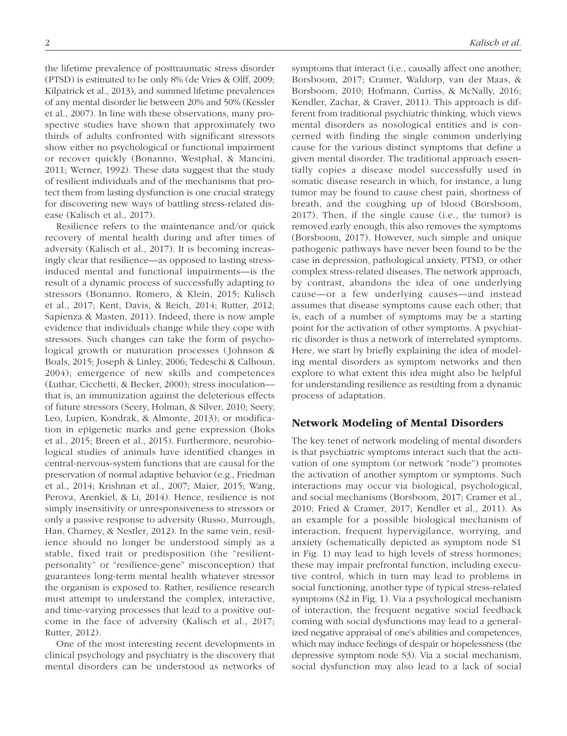the lifetime prevalence of posttraumatic stress disorder (PTSD) is estimated to be only 8% (de Vries & Olff, 2009; Kilpatrick et al., 2013), and summed lifetime prevalences of any mental disorder lie between 20% and 50% (Kessler et al., 2007). In line with these observations, many prospective studies have shown that approximately two thirds of adults confronted with significant stressors show either no psychological or functional impairment or recover quickly (Bonanno, Westphal, & Mancini, 2011; Werner, 1992). These data suggest that the study of resilient individuals and of the mechanisms that protect them from lasting dysfunction is one crucial strategy for discovering new ways of battling stress-related disease (Kalisch et al., 2017).

Resilience refers to the maintenance and/or quick recovery of mental health during and after times of adversity (Kalisch et al., 2017). It is becoming increasingly clear that resilience—as opposed to lasting stressinduced mental and functional impairments—is the result of a dynamic process of successfully adapting to stressors (Bonanno, Romero, & Klein, 2015; Kalisch et al., 2017; Kent, Davis, & Reich, 2014; Rutter, 2012; Sapienza & Masten, 2011). Indeed, there is now ample evidence that individuals change while they cope with stressors. Such changes can take the form of psychological growth or maturation processes (Johnson & Boals, 2015; Joseph & Linley, 2006; Tedeschi & Calhoun, 2004); emergence of new skills and competences (Luthar, Cicchetti, & Becker, 2000); stress inoculation that is, an immunization against the deleterious effects of future stressors (Seery, Holman, & Silver, 2010; Seery, Leo, Lupien, Kondrak, & Almonte, 2013); or modification in epigenetic marks and gene expression (Boks et al., 2015; Breen et al., 2015). Furthermore, neurobiological studies of animals have identified changes in central-nervous-system functions that are causal for the preservation of normal adaptive behavior (e.g., Friedman et al., 2014; Krishnan et al., 2007; Maier, 2015; Wang, Perova, Arenkiel, & Li, 2014). Hence, resilience is not simply insensitivity or unresponsiveness to stressors or only a passive response to adversity (Russo, Murrough, Han, Charney, & Nestler, 2012). In the same vein, resilience should no longer be understood simply as a stable, fixed trait or predisposition (the "resilientpersonality" or "resilience-gene" misconception) that guarantees long-term mental health whatever stressor the organism is exposed to. Rather, resilience research must attempt to understand the complex, interactive, and time-varying processes that lead to a positive outcome in the face of adversity (Kalisch et al., 2017; Rutter, 2012).

One of the most interesting recent developments in clinical psychology and psychiatry is the discovery that mental disorders can be understood as networks of symptoms that interact (i.e., causally affect one another; Borsboom, 2017; Cramer, Waldorp, van der Maas, & Borsboom, 2010; Hofmann, Curtiss, & McNally, 2016; Kendler, Zachar, & Craver, 2011). This approach is different from traditional psychiatric thinking, which views mental disorders as nosological entities and is concerned with finding the single common underlying cause for the various distinct symptoms that define a given mental disorder. The traditional approach essentially copies a disease model successfully used in somatic disease research in which, for instance, a lung tumor may be found to cause chest pain, shortness of breath, and the coughing up of blood (Borsboom, 2017). Then, if the single cause (i.e., the tumor) is removed early enough, this also removes the symptoms (Borsboom, 2017). However, such simple and unique pathogenic pathways have never been found to be the case in depression, pathological anxiety, PTSD, or other complex stress-related diseases. The network approach, by contrast, abandons the idea of one underlying cause—or a few underlying causes—and instead assumes that disease symptoms cause each other; that is, each of a number of symptoms may be a starting point for the activation of other symptoms. A psychiatric disorder is thus a network of interrelated symptoms. Here, we start by briefly explaining the idea of modeling mental disorders as symptom networks and then explore to what extent this idea might also be helpful for understanding resilience as resulting from a dynamic process of adaptation.

## Network Modeling of Mental Disorders

The key tenet of network modeling of mental disorders is that psychiatric symptoms interact such that the activation of one symptom (or network "node") promotes the activation of another symptom or symptoms. Such interactions may occur via biological, psychological, and social mechanisms (Borsboom, 2017; Cramer et al., 2010; Fried & Cramer, 2017; Kendler et al., 2011). As an example for a possible biological mechanism of interaction, frequent hypervigilance, worrying, and anxiety (schematically depicted as symptom node S1 in Fig. 1) may lead to high levels of stress hormones; these may impair prefrontal function, including executive control, which in turn may lead to problems in social functioning, another type of typical stress-related symptoms (S2 in Fig. 1). Via a psychological mechanism of interaction, the frequent negative social feedback coming with social dysfunctions may lead to a generalized negative appraisal of one's abilities and competences, which may induce feelings of despair or hopelessness (the depressive symptom node S3). Via a social mechanism, social dysfunction may also lead to a lack of social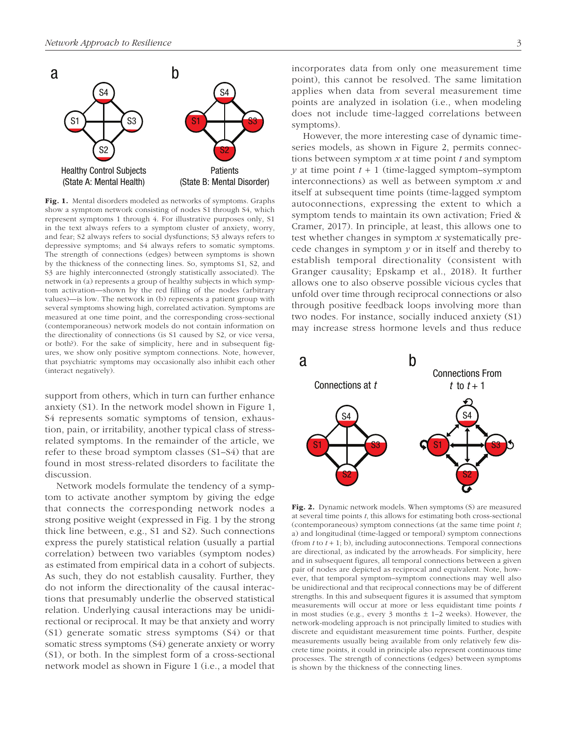

Fig. 1. Mental disorders modeled as networks of symptoms. Graphs show a symptom network consisting of nodes S1 through S4, which represent symptoms 1 through 4. For illustrative purposes only, S1 in the text always refers to a symptom cluster of anxiety, worry, and fear; S2 always refers to social dysfunctions; S3 always refers to depressive symptoms; and S4 always refers to somatic symptoms. The strength of connections (edges) between symptoms is shown by the thickness of the connecting lines. So, symptoms S1, S2, and S3 are highly interconnected (strongly statistically associated). The network in (a) represents a group of healthy subjects in which symptom activation—shown by the red filling of the nodes (arbitrary values)—is low. The network in (b) represents a patient group with several symptoms showing high, correlated activation. Symptoms are measured at one time point, and the corresponding cross-sectional (contemporaneous) network models do not contain information on the directionality of connections (is S1 caused by S2, or vice versa, or both?). For the sake of simplicity, here and in subsequent figures, we show only positive symptom connections. Note, however, that psychiatric symptoms may occasionally also inhibit each other (interact negatively).

support from others, which in turn can further enhance anxiety (S1). In the network model shown in Figure 1, S4 represents somatic symptoms of tension, exhaustion, pain, or irritability, another typical class of stressrelated symptoms. In the remainder of the article, we refer to these broad symptom classes (S1–S4) that are found in most stress-related disorders to facilitate the discussion.

Network models formulate the tendency of a symptom to activate another symptom by giving the edge that connects the corresponding network nodes a strong positive weight (expressed in Fig. 1 by the strong thick line between, e.g., S1 and S2). Such connections express the purely statistical relation (usually a partial correlation) between two variables (symptom nodes) as estimated from empirical data in a cohort of subjects. As such, they do not establish causality. Further, they do not inform the directionality of the causal interactions that presumably underlie the observed statistical relation. Underlying causal interactions may be unidirectional or reciprocal. It may be that anxiety and worry (S1) generate somatic stress symptoms (S4) or that somatic stress symptoms (S4) generate anxiety or worry (S1), or both. In the simplest form of a cross-sectional network model as shown in Figure 1 (i.e., a model that incorporates data from only one measurement time point), this cannot be resolved. The same limitation applies when data from several measurement time points are analyzed in isolation (i.e., when modeling does not include time-lagged correlations between symptoms).

However, the more interesting case of dynamic timeseries models, as shown in Figure 2, permits connections between symptom *x* at time point *t* and symptom *y* at time point  $t + 1$  (time-lagged symptom–symptom interconnections) as well as between symptom *x* and itself at subsequent time points (time-lagged symptom autoconnections, expressing the extent to which a symptom tends to maintain its own activation; Fried & Cramer, 2017). In principle, at least, this allows one to test whether changes in symptom *x* systematically precede changes in symptom *y* or in itself and thereby to establish temporal directionality (consistent with Granger causality; Epskamp et al., 2018). It further allows one to also observe possible vicious cycles that unfold over time through reciprocal connections or also through positive feedback loops involving more than two nodes. For instance, socially induced anxiety (S1) may increase stress hormone levels and thus reduce



Fig. 2. Dynamic network models. When symptoms (S) are measured at several time points *t*, this allows for estimating both cross-sectional (contemporaneous) symptom connections (at the same time point *t*; a) and longitudinal (time-lagged or temporal) symptom connections (from  $t$  to  $t + 1$ ; b), including autoconnections. Temporal connections are directional, as indicated by the arrowheads. For simplicity, here and in subsequent figures, all temporal connections between a given pair of nodes are depicted as reciprocal and equivalent. Note, however, that temporal symptom–symptom connections may well also be unidirectional and that reciprocal connections may be of different strengths. In this and subsequent figures it is assumed that symptom measurements will occur at more or less equidistant time points *t* in most studies (e.g., every 3 months  $\pm$  1–2 weeks). However, the network-modeling approach is not principally limited to studies with discrete and equidistant measurement time points. Further, despite measurements usually being available from only relatively few discrete time points, it could in principle also represent continuous time processes. The strength of connections (edges) between symptoms is shown by the thickness of the connecting lines.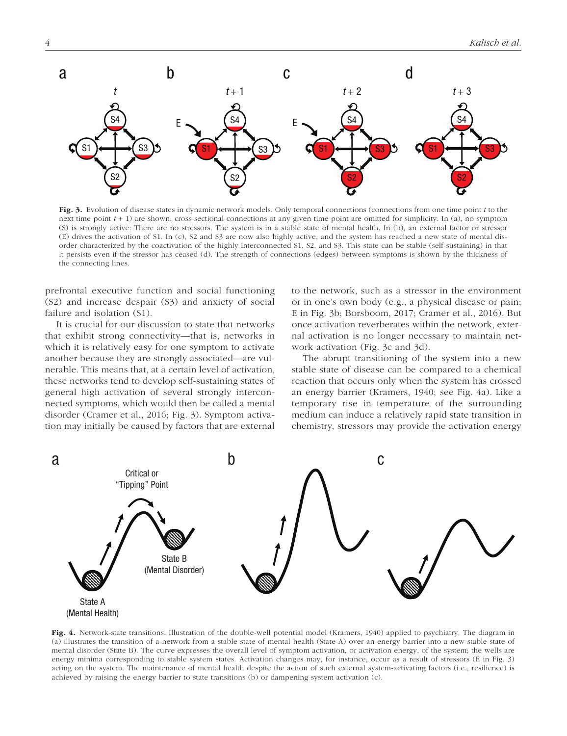

Fig. 3. Evolution of disease states in dynamic network models. Only temporal connections (connections from one time point *t* to the next time point *t* + 1) are shown; cross-sectional connections at any given time point are omitted for simplicity. In (a), no symptom (S) is strongly active: There are no stressors. The system is in a stable state of mental health. In (b), an external factor or stressor (E) drives the activation of S1. In (c), S2 and S3 are now also highly active, and the system has reached a new state of mental disorder characterized by the coactivation of the highly interconnected S1, S2, and S3. This state can be stable (self-sustaining) in that it persists even if the stressor has ceased (d). The strength of connections (edges) between symptoms is shown by the thickness of the connecting lines.

prefrontal executive function and social functioning (S2) and increase despair (S3) and anxiety of social failure and isolation (S1).

It is crucial for our discussion to state that networks that exhibit strong connectivity—that is, networks in which it is relatively easy for one symptom to activate another because they are strongly associated—are vulnerable. This means that, at a certain level of activation, these networks tend to develop self-sustaining states of general high activation of several strongly interconnected symptoms, which would then be called a mental disorder (Cramer et al., 2016; Fig. 3). Symptom activation may initially be caused by factors that are external to the network, such as a stressor in the environment or in one's own body (e.g., a physical disease or pain; E in Fig. 3b; Borsboom, 2017; Cramer et al., 2016). But once activation reverberates within the network, external activation is no longer necessary to maintain network activation (Fig. 3c and 3d).

The abrupt transitioning of the system into a new stable state of disease can be compared to a chemical reaction that occurs only when the system has crossed an energy barrier (Kramers, 1940; see Fig. 4a). Like a temporary rise in temperature of the surrounding medium can induce a relatively rapid state transition in chemistry, stressors may provide the activation energy



(Mental Health)

Fig. 4. Network-state transitions. Illustration of the double-well potential model (Kramers, 1940) applied to psychiatry. The diagram in (a) illustrates the transition of a network from a stable state of mental health (State A) over an energy barrier into a new stable state of mental disorder (State B). The curve expresses the overall level of symptom activation, or activation energy, of the system; the wells are energy minima corresponding to stable system states. Activation changes may, for instance, occur as a result of stressors (E in Fig. 3) acting on the system. The maintenance of mental health despite the action of such external system-activating factors (i.e., resilience) is achieved by raising the energy barrier to state transitions (b) or dampening system activation (c).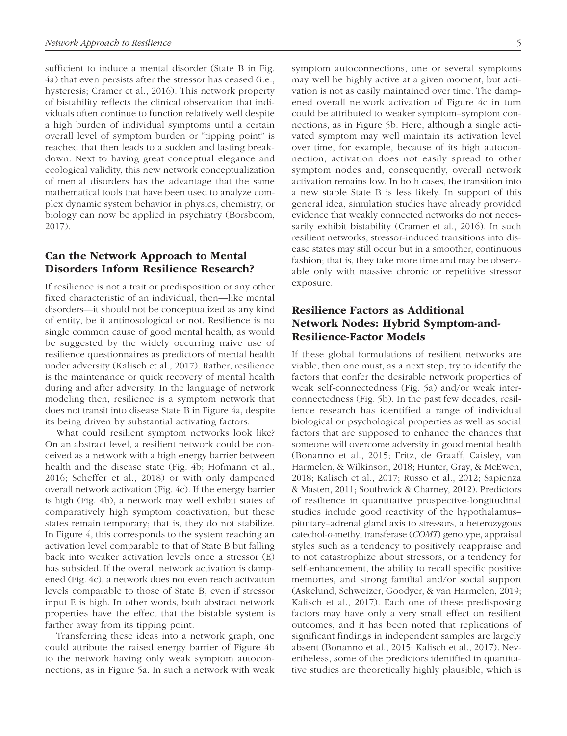sufficient to induce a mental disorder (State B in Fig. 4a) that even persists after the stressor has ceased (i.e., hysteresis; Cramer et al., 2016). This network property of bistability reflects the clinical observation that individuals often continue to function relatively well despite a high burden of individual symptoms until a certain overall level of symptom burden or "tipping point" is reached that then leads to a sudden and lasting breakdown. Next to having great conceptual elegance and ecological validity, this new network conceptualization of mental disorders has the advantage that the same mathematical tools that have been used to analyze complex dynamic system behavior in physics, chemistry, or biology can now be applied in psychiatry (Borsboom, 2017).

# Can the Network Approach to Mental Disorders Inform Resilience Research?

If resilience is not a trait or predisposition or any other fixed characteristic of an individual, then—like mental disorders—it should not be conceptualized as any kind of entity, be it antinosological or not. Resilience is no single common cause of good mental health, as would be suggested by the widely occurring naive use of resilience questionnaires as predictors of mental health under adversity (Kalisch et al., 2017). Rather, resilience is the maintenance or quick recovery of mental health during and after adversity. In the language of network modeling then, resilience is a symptom network that does not transit into disease State B in Figure 4a, despite its being driven by substantial activating factors.

What could resilient symptom networks look like? On an abstract level, a resilient network could be conceived as a network with a high energy barrier between health and the disease state (Fig. 4b; Hofmann et al., 2016; Scheffer et al., 2018) or with only dampened overall network activation (Fig. 4c). If the energy barrier is high (Fig. 4b), a network may well exhibit states of comparatively high symptom coactivation, but these states remain temporary; that is, they do not stabilize. In Figure 4, this corresponds to the system reaching an activation level comparable to that of State B but falling back into weaker activation levels once a stressor (E) has subsided. If the overall network activation is dampened (Fig. 4c), a network does not even reach activation levels comparable to those of State B, even if stressor input E is high. In other words, both abstract network properties have the effect that the bistable system is farther away from its tipping point.

Transferring these ideas into a network graph, one could attribute the raised energy barrier of Figure 4b to the network having only weak symptom autoconnections, as in Figure 5a. In such a network with weak symptom autoconnections, one or several symptoms may well be highly active at a given moment, but activation is not as easily maintained over time. The dampened overall network activation of Figure 4c in turn could be attributed to weaker symptom–symptom connections, as in Figure 5b. Here, although a single activated symptom may well maintain its activation level over time, for example, because of its high autoconnection, activation does not easily spread to other symptom nodes and, consequently, overall network activation remains low. In both cases, the transition into a new stable State B is less likely. In support of this general idea, simulation studies have already provided evidence that weakly connected networks do not necessarily exhibit bistability (Cramer et al., 2016). In such resilient networks, stressor-induced transitions into disease states may still occur but in a smoother, continuous fashion; that is, they take more time and may be observable only with massive chronic or repetitive stressor exposure.

# Resilience Factors as Additional Network Nodes: Hybrid Symptom-and-Resilience-Factor Models

If these global formulations of resilient networks are viable, then one must, as a next step, try to identify the factors that confer the desirable network properties of weak self-connectedness (Fig. 5a) and/or weak interconnectedness (Fig. 5b). In the past few decades, resilience research has identified a range of individual biological or psychological properties as well as social factors that are supposed to enhance the chances that someone will overcome adversity in good mental health (Bonanno et al., 2015; Fritz, de Graaff, Caisley, van Harmelen, & Wilkinson, 2018; Hunter, Gray, & McEwen, 2018; Kalisch et al., 2017; Russo et al., 2012; Sapienza & Masten, 2011; Southwick & Charney, 2012). Predictors of resilience in quantitative prospective-longitudinal studies include good reactivity of the hypothalamus– pituitary–adrenal gland axis to stressors, a heterozygous catechol-*o*-methyl transferase (*COMT*) genotype, appraisal styles such as a tendency to positively reappraise and to not catastrophize about stressors, or a tendency for self-enhancement, the ability to recall specific positive memories, and strong familial and/or social support (Askelund, Schweizer, Goodyer, & van Harmelen, 2019; Kalisch et al., 2017). Each one of these predisposing factors may have only a very small effect on resilient outcomes, and it has been noted that replications of significant findings in independent samples are largely absent (Bonanno et al., 2015; Kalisch et al., 2017). Nevertheless, some of the predictors identified in quantitative studies are theoretically highly plausible, which is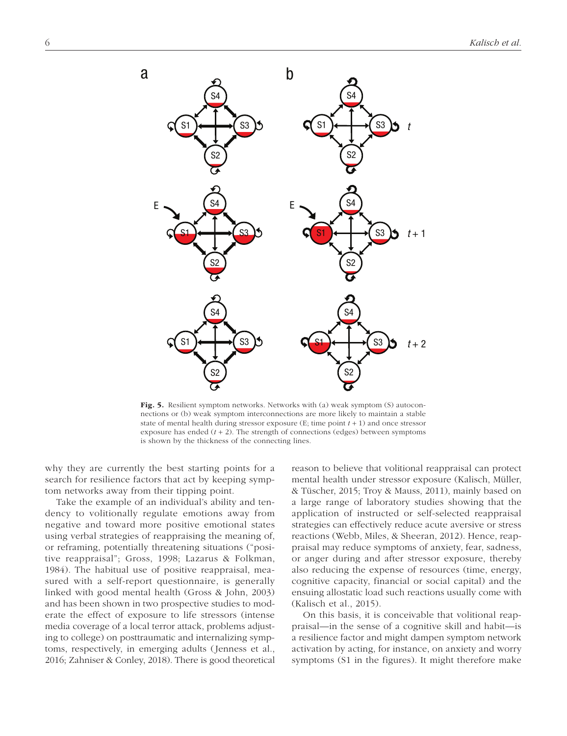



Fig. 5. Resilient symptom networks. Networks with (a) weak symptom (S) autoconnections or (b) weak symptom interconnections are more likely to maintain a stable state of mental health during stressor exposure (E; time point *t* + 1) and once stressor exposure has ended  $(t + 2)$ . The strength of connections (edges) between symptoms is shown by the thickness of the connecting lines.

why they are currently the best starting points for a search for resilience factors that act by keeping symptom networks away from their tipping point.

Take the example of an individual's ability and tendency to volitionally regulate emotions away from negative and toward more positive emotional states using verbal strategies of reappraising the meaning of, or reframing, potentially threatening situations ("positive reappraisal"; Gross, 1998; Lazarus & Folkman, 1984). The habitual use of positive reappraisal, measured with a self-report questionnaire, is generally linked with good mental health (Gross & John, 2003) and has been shown in two prospective studies to moderate the effect of exposure to life stressors (intense media coverage of a local terror attack, problems adjusting to college) on posttraumatic and internalizing symptoms, respectively, in emerging adults (Jenness et al., 2016; Zahniser & Conley, 2018). There is good theoretical reason to believe that volitional reappraisal can protect mental health under stressor exposure (Kalisch, Müller, & Tüscher, 2015; Troy & Mauss, 2011), mainly based on a large range of laboratory studies showing that the application of instructed or self-selected reappraisal strategies can effectively reduce acute aversive or stress reactions (Webb, Miles, & Sheeran, 2012). Hence, reappraisal may reduce symptoms of anxiety, fear, sadness, or anger during and after stressor exposure, thereby also reducing the expense of resources (time, energy, cognitive capacity, financial or social capital) and the ensuing allostatic load such reactions usually come with (Kalisch et al., 2015).

On this basis, it is conceivable that volitional reappraisal—in the sense of a cognitive skill and habit—is a resilience factor and might dampen symptom network activation by acting, for instance, on anxiety and worry symptoms (S1 in the figures). It might therefore make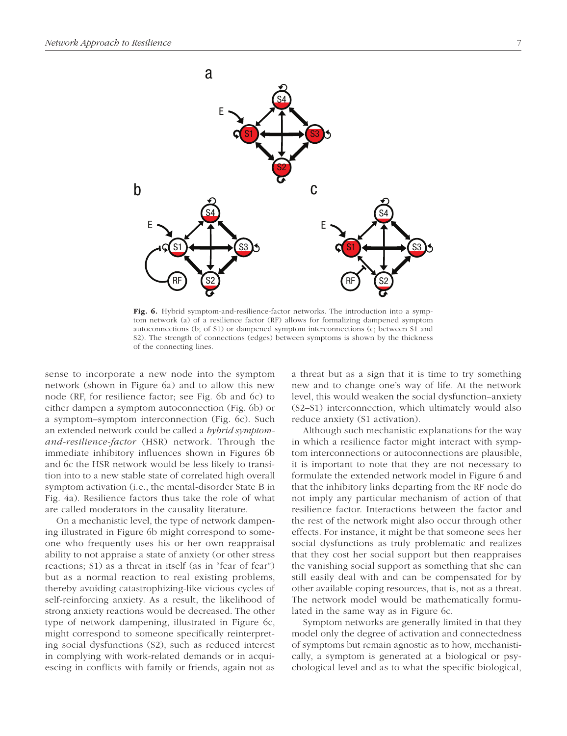

Fig. 6. Hybrid symptom-and-resilience-factor networks. The introduction into a symptom network (a) of a resilience factor (RF) allows for formalizing dampened symptom autoconnections (b; of S1) or dampened symptom interconnections (c; between S1 and S2). The strength of connections (edges) between symptoms is shown by the thickness of the connecting lines.

sense to incorporate a new node into the symptom network (shown in Figure 6a) and to allow this new node (RF, for resilience factor; see Fig. 6b and 6c) to either dampen a symptom autoconnection (Fig. 6b) or a symptom–symptom interconnection (Fig. 6c). Such an extended network could be called a *hybrid symptomand-resilience-factor* (HSR) network. Through the immediate inhibitory influences shown in Figures 6b and 6c the HSR network would be less likely to transition into to a new stable state of correlated high overall symptom activation (i.e., the mental-disorder State B in Fig. 4a). Resilience factors thus take the role of what are called moderators in the causality literature.

On a mechanistic level, the type of network dampening illustrated in Figure 6b might correspond to someone who frequently uses his or her own reappraisal ability to not appraise a state of anxiety (or other stress reactions; S1) as a threat in itself (as in "fear of fear") but as a normal reaction to real existing problems, thereby avoiding catastrophizing-like vicious cycles of self-reinforcing anxiety. As a result, the likelihood of strong anxiety reactions would be decreased. The other type of network dampening, illustrated in Figure 6c, might correspond to someone specifically reinterpreting social dysfunctions (S2), such as reduced interest in complying with work-related demands or in acquiescing in conflicts with family or friends, again not as a threat but as a sign that it is time to try something new and to change one's way of life. At the network level, this would weaken the social dysfunction–anxiety (S2–S1) interconnection, which ultimately would also reduce anxiety (S1 activation).

Although such mechanistic explanations for the way in which a resilience factor might interact with symptom interconnections or autoconnections are plausible, it is important to note that they are not necessary to formulate the extended network model in Figure 6 and that the inhibitory links departing from the RF node do not imply any particular mechanism of action of that resilience factor. Interactions between the factor and the rest of the network might also occur through other effects. For instance, it might be that someone sees her social dysfunctions as truly problematic and realizes that they cost her social support but then reappraises the vanishing social support as something that she can still easily deal with and can be compensated for by other available coping resources, that is, not as a threat. The network model would be mathematically formulated in the same way as in Figure 6c.

Symptom networks are generally limited in that they model only the degree of activation and connectedness of symptoms but remain agnostic as to how, mechanistically, a symptom is generated at a biological or psychological level and as to what the specific biological,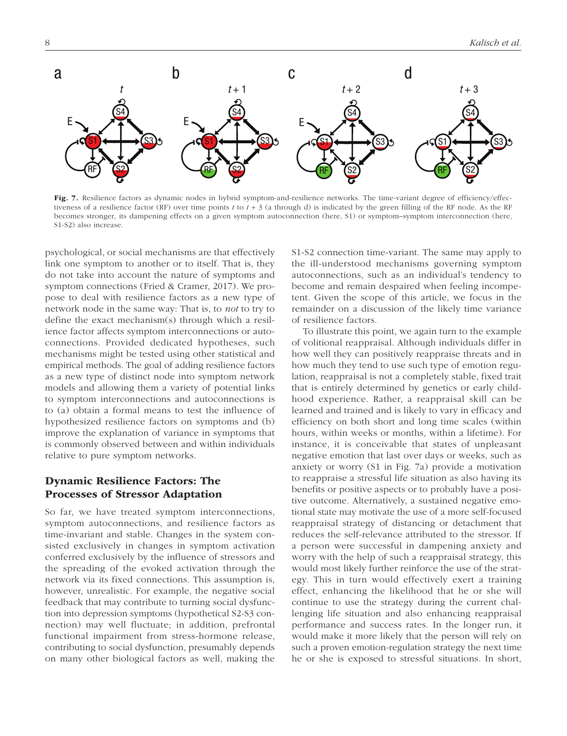

Fig. 7. Resilience factors as dynamic nodes in hybrid symptom-and-resilience networks. The time-variant degree of efficiency/effectiveness of a resilience factor (RF) over time points *t* to *t* + 3 (a through d) is indicated by the green filling of the RF node. As the RF becomes stronger, its dampening effects on a given symptom autoconnection (here, S1) or symptom–symptom interconnection (here, S1-S2) also increase.

psychological, or social mechanisms are that effectively link one symptom to another or to itself. That is, they do not take into account the nature of symptoms and symptom connections (Fried & Cramer, 2017). We propose to deal with resilience factors as a new type of network node in the same way: That is, to *not* to try to define the exact mechanism(s) through which a resilience factor affects symptom interconnections or autoconnections. Provided dedicated hypotheses, such mechanisms might be tested using other statistical and empirical methods. The goal of adding resilience factors as a new type of distinct node into symptom network models and allowing them a variety of potential links to symptom interconnections and autoconnections is to (a) obtain a formal means to test the influence of hypothesized resilience factors on symptoms and (b) improve the explanation of variance in symptoms that is commonly observed between and within individuals relative to pure symptom networks.

## Dynamic Resilience Factors: The Processes of Stressor Adaptation

So far, we have treated symptom interconnections, symptom autoconnections, and resilience factors as time-invariant and stable. Changes in the system consisted exclusively in changes in symptom activation conferred exclusively by the influence of stressors and the spreading of the evoked activation through the network via its fixed connections. This assumption is, however, unrealistic. For example, the negative social feedback that may contribute to turning social dysfunction into depression symptoms (hypothetical S2-S3 connection) may well fluctuate; in addition, prefrontal functional impairment from stress-hormone release, contributing to social dysfunction, presumably depends on many other biological factors as well, making the

S1-S2 connection time-variant. The same may apply to the ill-understood mechanisms governing symptom autoconnections, such as an individual's tendency to become and remain despaired when feeling incompetent. Given the scope of this article, we focus in the remainder on a discussion of the likely time variance of resilience factors.

To illustrate this point, we again turn to the example of volitional reappraisal. Although individuals differ in how well they can positively reappraise threats and in how much they tend to use such type of emotion regulation, reappraisal is not a completely stable, fixed trait that is entirely determined by genetics or early childhood experience. Rather, a reappraisal skill can be learned and trained and is likely to vary in efficacy and efficiency on both short and long time scales (within hours, within weeks or months, within a lifetime). For instance, it is conceivable that states of unpleasant negative emotion that last over days or weeks, such as anxiety or worry (S1 in Fig. 7a) provide a motivation to reappraise a stressful life situation as also having its benefits or positive aspects or to probably have a positive outcome. Alternatively, a sustained negative emotional state may motivate the use of a more self-focused reappraisal strategy of distancing or detachment that reduces the self-relevance attributed to the stressor. If a person were successful in dampening anxiety and worry with the help of such a reappraisal strategy, this would most likely further reinforce the use of the strategy. This in turn would effectively exert a training effect, enhancing the likelihood that he or she will continue to use the strategy during the current challenging life situation and also enhancing reappraisal performance and success rates. In the longer run, it would make it more likely that the person will rely on such a proven emotion-regulation strategy the next time he or she is exposed to stressful situations. In short,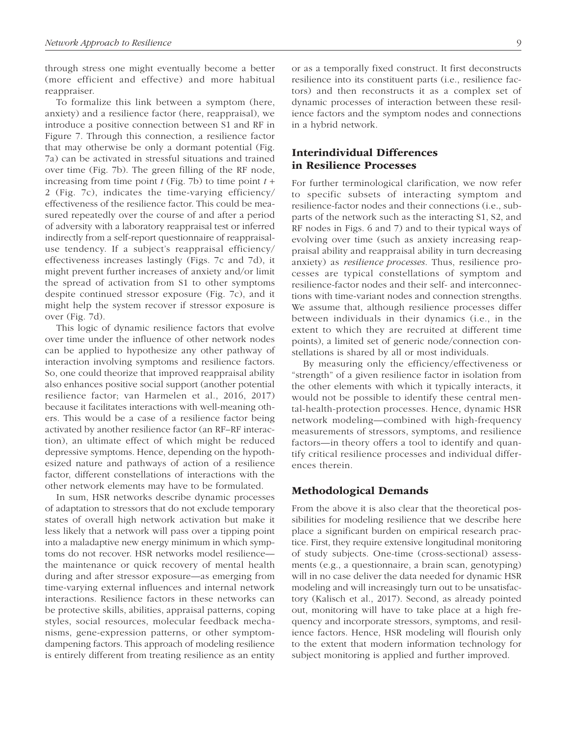through stress one might eventually become a better (more efficient and effective) and more habitual reappraiser.

To formalize this link between a symptom (here, anxiety) and a resilience factor (here, reappraisal), we introduce a positive connection between S1 and RF in Figure 7. Through this connection, a resilience factor that may otherwise be only a dormant potential (Fig. 7a) can be activated in stressful situations and trained over time (Fig. 7b). The green filling of the RF node, increasing from time point  $t$  (Fig. 7b) to time point  $t +$ 2 (Fig. 7c), indicates the time-varying efficiency/ effectiveness of the resilience factor. This could be measured repeatedly over the course of and after a period of adversity with a laboratory reappraisal test or inferred indirectly from a self-report questionnaire of reappraisaluse tendency. If a subject's reappraisal efficiency/ effectiveness increases lastingly (Figs. 7c and 7d), it might prevent further increases of anxiety and/or limit the spread of activation from S1 to other symptoms despite continued stressor exposure (Fig. 7c), and it might help the system recover if stressor exposure is over (Fig. 7d).

This logic of dynamic resilience factors that evolve over time under the influence of other network nodes can be applied to hypothesize any other pathway of interaction involving symptoms and resilience factors. So, one could theorize that improved reappraisal ability also enhances positive social support (another potential resilience factor; van Harmelen et al., 2016, 2017) because it facilitates interactions with well-meaning others. This would be a case of a resilience factor being activated by another resilience factor (an RF–RF interaction), an ultimate effect of which might be reduced depressive symptoms. Hence, depending on the hypothesized nature and pathways of action of a resilience factor, different constellations of interactions with the other network elements may have to be formulated.

In sum, HSR networks describe dynamic processes of adaptation to stressors that do not exclude temporary states of overall high network activation but make it less likely that a network will pass over a tipping point into a maladaptive new energy minimum in which symptoms do not recover. HSR networks model resilience the maintenance or quick recovery of mental health during and after stressor exposure—as emerging from time-varying external influences and internal network interactions. Resilience factors in these networks can be protective skills, abilities, appraisal patterns, coping styles, social resources, molecular feedback mechanisms, gene-expression patterns, or other symptomdampening factors. This approach of modeling resilience is entirely different from treating resilience as an entity

or as a temporally fixed construct. It first deconstructs resilience into its constituent parts (i.e., resilience factors) and then reconstructs it as a complex set of dynamic processes of interaction between these resilience factors and the symptom nodes and connections in a hybrid network.

## Interindividual Differences in Resilience Processes

For further terminological clarification, we now refer to specific subsets of interacting symptom and resilience-factor nodes and their connections (i.e., subparts of the network such as the interacting S1, S2, and RF nodes in Figs. 6 and 7) and to their typical ways of evolving over time (such as anxiety increasing reappraisal ability and reappraisal ability in turn decreasing anxiety) as *resilience processes*. Thus, resilience processes are typical constellations of symptom and resilience-factor nodes and their self- and interconnections with time-variant nodes and connection strengths. We assume that, although resilience processes differ between individuals in their dynamics (i.e., in the extent to which they are recruited at different time points), a limited set of generic node/connection constellations is shared by all or most individuals.

By measuring only the efficiency/effectiveness or "strength" of a given resilience factor in isolation from the other elements with which it typically interacts, it would not be possible to identify these central mental-health-protection processes. Hence, dynamic HSR network modeling—combined with high-frequency measurements of stressors, symptoms, and resilience factors—in theory offers a tool to identify and quantify critical resilience processes and individual differences therein.

## Methodological Demands

From the above it is also clear that the theoretical possibilities for modeling resilience that we describe here place a significant burden on empirical research practice. First, they require extensive longitudinal monitoring of study subjects. One-time (cross-sectional) assessments (e.g., a questionnaire, a brain scan, genotyping) will in no case deliver the data needed for dynamic HSR modeling and will increasingly turn out to be unsatisfactory (Kalisch et al., 2017). Second, as already pointed out, monitoring will have to take place at a high frequency and incorporate stressors, symptoms, and resilience factors. Hence, HSR modeling will flourish only to the extent that modern information technology for subject monitoring is applied and further improved.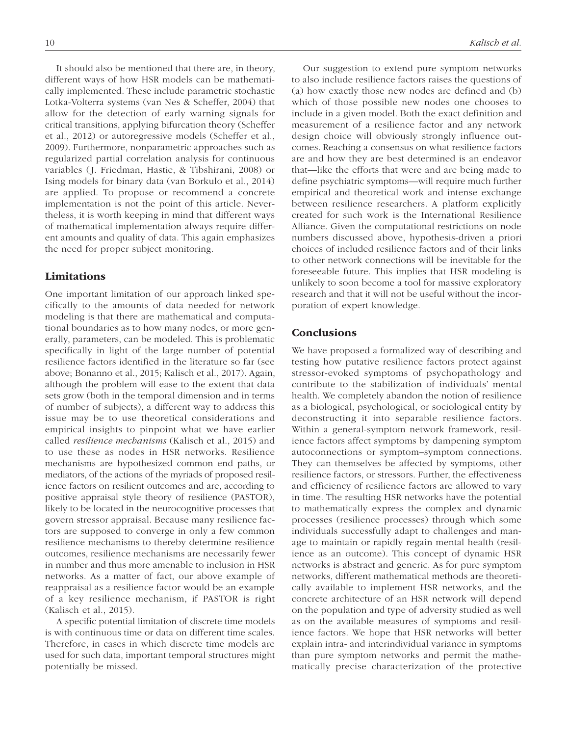It should also be mentioned that there are, in theory, different ways of how HSR models can be mathematically implemented. These include parametric stochastic Lotka-Volterra systems (van Nes & Scheffer, 2004) that allow for the detection of early warning signals for critical transitions, applying bifurcation theory (Scheffer et al., 2012) or autoregressive models (Scheffer et al., 2009). Furthermore, nonparametric approaches such as regularized partial correlation analysis for continuous variables (J. Friedman, Hastie, & Tibshirani, 2008) or Ising models for binary data (van Borkulo et al., 2014) are applied. To propose or recommend a concrete implementation is not the point of this article. Nevertheless, it is worth keeping in mind that different ways of mathematical implementation always require different amounts and quality of data. This again emphasizes the need for proper subject monitoring.

## Limitations

One important limitation of our approach linked specifically to the amounts of data needed for network modeling is that there are mathematical and computational boundaries as to how many nodes, or more generally, parameters, can be modeled. This is problematic specifically in light of the large number of potential resilience factors identified in the literature so far (see above; Bonanno et al., 2015; Kalisch et al., 2017). Again, although the problem will ease to the extent that data sets grow (both in the temporal dimension and in terms of number of subjects), a different way to address this issue may be to use theoretical considerations and empirical insights to pinpoint what we have earlier called *resilience mechanisms* (Kalisch et al., 2015) and to use these as nodes in HSR networks. Resilience mechanisms are hypothesized common end paths, or mediators, of the actions of the myriads of proposed resilience factors on resilient outcomes and are, according to positive appraisal style theory of resilience (PASTOR), likely to be located in the neurocognitive processes that govern stressor appraisal. Because many resilience factors are supposed to converge in only a few common resilience mechanisms to thereby determine resilience outcomes, resilience mechanisms are necessarily fewer in number and thus more amenable to inclusion in HSR networks. As a matter of fact, our above example of reappraisal as a resilience factor would be an example of a key resilience mechanism, if PASTOR is right (Kalisch et al., 2015).

A specific potential limitation of discrete time models is with continuous time or data on different time scales. Therefore, in cases in which discrete time models are used for such data, important temporal structures might potentially be missed.

Our suggestion to extend pure symptom networks to also include resilience factors raises the questions of (a) how exactly those new nodes are defined and (b) which of those possible new nodes one chooses to include in a given model. Both the exact definition and measurement of a resilience factor and any network design choice will obviously strongly influence outcomes. Reaching a consensus on what resilience factors are and how they are best determined is an endeavor that—like the efforts that were and are being made to define psychiatric symptoms—will require much further empirical and theoretical work and intense exchange between resilience researchers. A platform explicitly created for such work is the International Resilience Alliance. Given the computational restrictions on node numbers discussed above, hypothesis-driven a priori choices of included resilience factors and of their links to other network connections will be inevitable for the foreseeable future. This implies that HSR modeling is unlikely to soon become a tool for massive exploratory research and that it will not be useful without the incorporation of expert knowledge.

## **Conclusions**

We have proposed a formalized way of describing and testing how putative resilience factors protect against stressor-evoked symptoms of psychopathology and contribute to the stabilization of individuals' mental health. We completely abandon the notion of resilience as a biological, psychological, or sociological entity by deconstructing it into separable resilience factors. Within a general-symptom network framework, resilience factors affect symptoms by dampening symptom autoconnections or symptom–symptom connections. They can themselves be affected by symptoms, other resilience factors, or stressors. Further, the effectiveness and efficiency of resilience factors are allowed to vary in time. The resulting HSR networks have the potential to mathematically express the complex and dynamic processes (resilience processes) through which some individuals successfully adapt to challenges and manage to maintain or rapidly regain mental health (resilience as an outcome). This concept of dynamic HSR networks is abstract and generic. As for pure symptom networks, different mathematical methods are theoretically available to implement HSR networks, and the concrete architecture of an HSR network will depend on the population and type of adversity studied as well as on the available measures of symptoms and resilience factors. We hope that HSR networks will better explain intra- and interindividual variance in symptoms than pure symptom networks and permit the mathematically precise characterization of the protective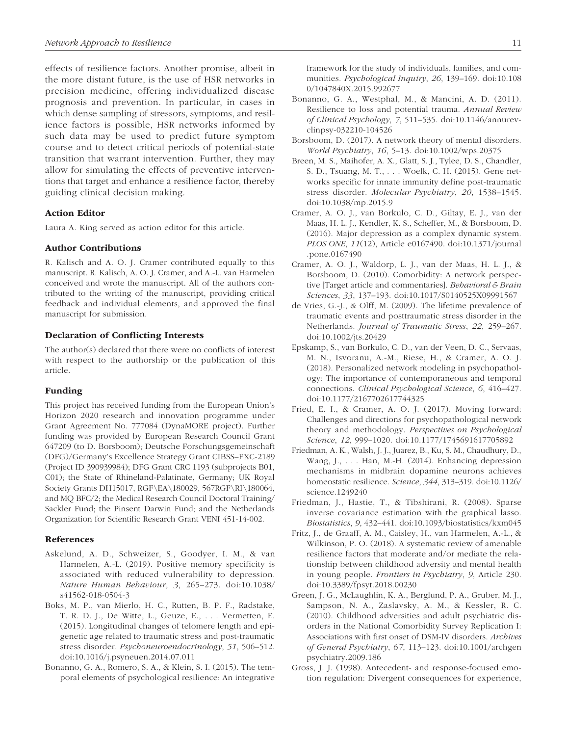effects of resilience factors. Another promise, albeit in the more distant future, is the use of HSR networks in precision medicine, offering individualized disease prognosis and prevention. In particular, in cases in which dense sampling of stressors, symptoms, and resilience factors is possible, HSR networks informed by such data may be used to predict future symptom course and to detect critical periods of potential-state transition that warrant intervention. Further, they may allow for simulating the effects of preventive interventions that target and enhance a resilience factor, thereby guiding clinical decision making.

## Action Editor

Laura A. King served as action editor for this article.

#### Author Contributions

R. Kalisch and A. O. J. Cramer contributed equally to this manuscript. R. Kalisch, A. O. J. Cramer, and A.-L. van Harmelen conceived and wrote the manuscript. All of the authors contributed to the writing of the manuscript, providing critical feedback and individual elements, and approved the final manuscript for submission.

## Declaration of Conflicting Interests

The author(s) declared that there were no conflicts of interest with respect to the authorship or the publication of this article.

#### Funding

This project has received funding from the European Union's Horizon 2020 research and innovation programme under Grant Agreement No. 777084 (DynaMORE project). Further funding was provided by European Research Council Grant 647209 (to D. Borsboom); Deutsche Forschungsgemeinschaft (DFG)/Germany's Excellence Strategy Grant CIBSS–EXC-2189 (Project ID 390939984); DFG Grant CRC 1193 (subprojects B01, C01); the State of Rhineland-Palatinate, Germany; UK Royal Society Grants DH15017, RGF\EA\180029, 567RGF\RI\180064, and MQ BFC/2; the Medical Research Council Doctoral Training/ Sackler Fund; the Pinsent Darwin Fund; and the Netherlands Organization for Scientific Research Grant VENI 451-14-002.

#### **References**

- Askelund, A. D., Schweizer, S., Goodyer, I. M., & van Harmelen, A.-L. (2019). Positive memory specificity is associated with reduced vulnerability to depression. *Nature Human Behaviour*, *3*, 265–273. doi:10.1038/ s41562-018-0504-3
- Boks, M. P., van Mierlo, H. C., Rutten, B. P. F., Radstake, T. R. D. J., De Witte, L., Geuze, E., . . . Vermetten, E. (2015). Longitudinal changes of telomere length and epigenetic age related to traumatic stress and post-traumatic stress disorder. *Psychoneuroendocrinology*, *51*, 506–512. doi:10.1016/j.psyneuen.2014.07.011
- Bonanno, G. A., Romero, S. A., & Klein, S. I. (2015). The temporal elements of psychological resilience: An integrative

framework for the study of individuals, families, and communities. *Psychological Inquiry*, *26*, 139–169. doi:10.108 0/1047840X.2015.992677

- Bonanno, G. A., Westphal, M., & Mancini, A. D. (2011). Resilience to loss and potential trauma. *Annual Review of Clinical Psychology*, *7*, 511–535. doi:10.1146/annurevclinpsy-032210-104526
- Borsboom, D. (2017). A network theory of mental disorders. *World Psychiatry*, *16*, 5–13. doi:10.1002/wps.20375
- Breen, M. S., Maihofer, A. X., Glatt, S. J., Tylee, D. S., Chandler, S. D., Tsuang, M. T., . . . Woelk, C. H. (2015). Gene networks specific for innate immunity define post-traumatic stress disorder. *Molecular Psychiatry*, *20*, 1538–1545. doi:10.1038/mp.2015.9
- Cramer, A. O. J., van Borkulo, C. D., Giltay, E. J., van der Maas, H. L. J., Kendler, K. S., Scheffer, M., & Borsboom, D. (2016). Major depression as a complex dynamic system. *PLOS ONE*, *11*(12), Article e0167490. doi:10.1371/journal .pone.0167490
- Cramer, A. O. J., Waldorp, L. J., van der Maas, H. L. J., & Borsboom, D. (2010). Comorbidity: A network perspective [Target article and commentaries]. *Behavioral & Brain Sciences*, *33*, 137–193. doi:10.1017/S0140525X09991567
- de Vries, G.-J., & Olff, M. (2009). The lifetime prevalence of traumatic events and posttraumatic stress disorder in the Netherlands. *Journal of Traumatic Stress*, *22*, 259–267. doi:10.1002/jts.20429
- Epskamp, S., van Borkulo, C. D., van der Veen, D. C., Servaas, M. N., Isvoranu, A.-M., Riese, H., & Cramer, A. O. J. (2018). Personalized network modeling in psychopathology: The importance of contemporaneous and temporal connections. *Clinical Psychological Science*, *6*, 416–427. doi:10.1177/2167702617744325
- Fried, E. I., & Cramer, A. O. J. (2017). Moving forward: Challenges and directions for psychopathological network theory and methodology. *Perspectives on Psychological Science*, *12*, 999–1020. doi:10.1177/1745691617705892
- Friedman, A. K., Walsh, J. J., Juarez, B., Ku, S. M., Chaudhury, D., Wang, J., . . . Han, M.-H. (2014). Enhancing depression mechanisms in midbrain dopamine neurons achieves homeostatic resilience. *Science*, *344*, 313–319. doi:10.1126/ science.1249240
- Friedman, J., Hastie, T., & Tibshirani, R. (2008). Sparse inverse covariance estimation with the graphical lasso. *Biostatistics*, *9*, 432–441. doi:10.1093/biostatistics/kxm045
- Fritz, J., de Graaff, A. M., Caisley, H., van Harmelen, A.-L., & Wilkinson, P. O. (2018). A systematic review of amenable resilience factors that moderate and/or mediate the relationship between childhood adversity and mental health in young people. *Frontiers in Psychiatry*, *9*, Article 230. doi:10.3389/fpsyt.2018.00230
- Green, J. G., McLaughlin, K. A., Berglund, P. A., Gruber, M. J., Sampson, N. A., Zaslavsky, A. M., & Kessler, R. C. (2010). Childhood adversities and adult psychiatric disorders in the National Comorbidity Survey Replication I: Associations with first onset of DSM-IV disorders. *Archives of General Psychiatry*, *67*, 113–123. doi:10.1001/archgen psychiatry.2009.186
- Gross, J. J. (1998). Antecedent- and response-focused emotion regulation: Divergent consequences for experience,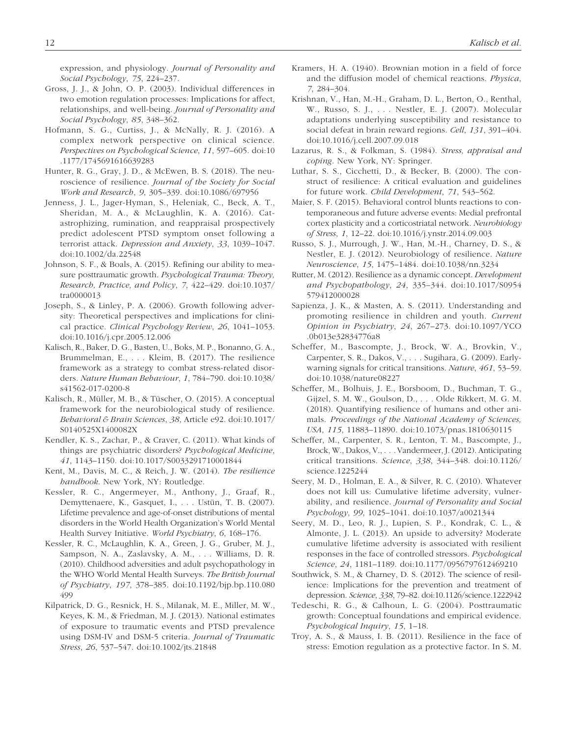expression, and physiology. *Journal of Personality and Social Psychology*, *75*, 224–237.

- Gross, J. J., & John, O. P. (2003). Individual differences in two emotion regulation processes: Implications for affect, relationships, and well-being. *Journal of Personality and Social Psychology*, *85*, 348–362.
- Hofmann, S. G., Curtiss, J., & McNally, R. J. (2016). A complex network perspective on clinical science. *Perspectives on Psychological Science*, *11*, 597–605. doi:10 .1177/1745691616639283
- Hunter, R. G., Gray, J. D., & McEwen, B. S. (2018). The neuroscience of resilience. *Journal of the Society for Social Work and Research*, *9*, 305–339. doi:10.1086/697956
- Jenness, J. L., Jager-Hyman, S., Heleniak, C., Beck, A. T., Sheridan, M. A., & McLaughlin, K. A. (2016). Catastrophizing, rumination, and reappraisal prospectively predict adolescent PTSD symptom onset following a terrorist attack. *Depression and Anxiety*, *33*, 1039–1047. doi:10.1002/da.22548
- Johnson, S. F., & Boals, A. (2015). Refining our ability to measure posttraumatic growth. *Psychological Trauma: Theory, Research, Practice, and Policy*, *7*, 422–429. doi:10.1037/ tra0000013
- Joseph, S., & Linley, P. A. (2006). Growth following adversity: Theoretical perspectives and implications for clinical practice. *Clinical Psychology Review*, *26*, 1041–1053. doi:10.1016/j.cpr.2005.12.006
- Kalisch, R., Baker, D. G., Basten, U., Boks, M. P., Bonanno, G. A., Brummelman, E., . . . Kleim, B. (2017). The resilience framework as a strategy to combat stress-related disorders. *Nature Human Behaviour*, *1*, 784–790. doi:10.1038/ s41562-017-0200-8
- Kalisch, R., Müller, M. B., & Tüscher, O. (2015). A conceptual framework for the neurobiological study of resilience. *Behavioral & Brain Sciences*, *38*, Article e92. doi:10.1017/ S0140525X1400082X
- Kendler, K. S., Zachar, P., & Craver, C. (2011). What kinds of things are psychiatric disorders? *Psychological Medicine*, *41*, 1143–1150. doi:10.1017/S0033291710001844
- Kent, M., Davis, M. C., & Reich, J. W. (2014). *The resilience handbook*. New York, NY: Routledge.
- Kessler, R. C., Angermeyer, M., Anthony, J., Graaf, R., Demyttenaere, K., Gasquet, I., . . . Ustün, T. B. (2007). Lifetime prevalence and age-of-onset distributions of mental disorders in the World Health Organization's World Mental Health Survey Initiative. *World Psychiatry*, *6*, 168–176.
- Kessler, R. C., McLaughlin, K. A., Green, J. G., Gruber, M. J., Sampson, N. A., Zaslavsky, A. M., . . . Williams, D. R. (2010). Childhood adversities and adult psychopathology in the WHO World Mental Health Surveys. *The British Journal of Psychiatry*, *197*, 378–385. doi:10.1192/bjp.bp.110.080 499
- Kilpatrick, D. G., Resnick, H. S., Milanak, M. E., Miller, M. W., Keyes, K. M., & Friedman, M. J. (2013). National estimates of exposure to traumatic events and PTSD prevalence using DSM-IV and DSM-5 criteria. *Journal of Traumatic Stress*, *26*, 537–547. doi:10.1002/jts.21848
- Kramers, H. A. (1940). Brownian motion in a field of force and the diffusion model of chemical reactions. *Physica*, *7*, 284–304.
- Krishnan, V., Han, M.-H., Graham, D. L., Berton, O., Renthal, W., Russo, S. J., . . . Nestler, E. J. (2007). Molecular adaptations underlying susceptibility and resistance to social defeat in brain reward regions. *Cell*, *131*, 391–404. doi:10.1016/j.cell.2007.09.018
- Lazarus, R. S., & Folkman, S. (1984). *Stress, appraisal and coping*. New York, NY: Springer.
- Luthar, S. S., Cicchetti, D., & Becker, B. (2000). The construct of resilience: A critical evaluation and guidelines for future work. *Child Development*, *71*, 543–562.
- Maier, S. F. (2015). Behavioral control blunts reactions to contemporaneous and future adverse events: Medial prefrontal cortex plasticity and a corticostriatal network. *Neurobiology of Stress*, *1*, 12–22. doi:10.1016/j.ynstr.2014.09.003
- Russo, S. J., Murrough, J. W., Han, M.-H., Charney, D. S., & Nestler, E. J. (2012). Neurobiology of resilience. *Nature Neuroscience*, *15*, 1475–1484. doi:10.1038/nn.3234
- Rutter, M. (2012). Resilience as a dynamic concept. *Development and Psychopathology*, *24*, 335–344. doi:10.1017/S0954 579412000028
- Sapienza, J. K., & Masten, A. S. (2011). Understanding and promoting resilience in children and youth. *Current Opinion in Psychiatry*, *24*, 267–273. doi:10.1097/YCO .0b013e32834776a8
- Scheffer, M., Bascompte, J., Brock, W. A., Brovkin, V., Carpenter, S. R., Dakos, V., . . . Sugihara, G. (2009). Earlywarning signals for critical transitions. *Nature*, *461*, 53–59. doi:10.1038/nature08227
- Scheffer, M., Bolhuis, J. E., Borsboom, D., Buchman, T. G., Gijzel, S. M. W., Goulson, D., . . . Olde Rikkert, M. G. M. (2018). Quantifying resilience of humans and other animals. *Proceedings of the National Academy of Sciences, USA*, *115*, 11883–11890. doi:10.1073/pnas.1810630115
- Scheffer, M., Carpenter, S. R., Lenton, T. M., Bascompte, J., Brock, W., Dakos, V., . . .Vandermeer, J. (2012). Anticipating critical transitions. *Science*, *338*, 344–348. doi:10.1126/ science.1225244
- Seery, M. D., Holman, E. A., & Silver, R. C. (2010). Whatever does not kill us: Cumulative lifetime adversity, vulnerability, and resilience. *Journal of Personality and Social Psychology*, *99*, 1025–1041. doi:10.1037/a0021344
- Seery, M. D., Leo, R. J., Lupien, S. P., Kondrak, C. L., & Almonte, J. L. (2013). An upside to adversity? Moderate cumulative lifetime adversity is associated with resilient responses in the face of controlled stressors. *Psychological Science*, *24*, 1181–1189. doi:10.1177/0956797612469210
- Southwick, S. M., & Charney, D. S. (2012). The science of resilience: Implications for the prevention and treatment of depression. *Science*, *338*, 79–82. doi:10.1126/science.1222942
- Tedeschi, R. G., & Calhoun, L. G. (2004). Posttraumatic growth: Conceptual foundations and empirical evidence. *Psychological Inquiry*, *15*, 1–18.
- Troy, A. S., & Mauss, I. B. (2011). Resilience in the face of stress: Emotion regulation as a protective factor. In S. M.